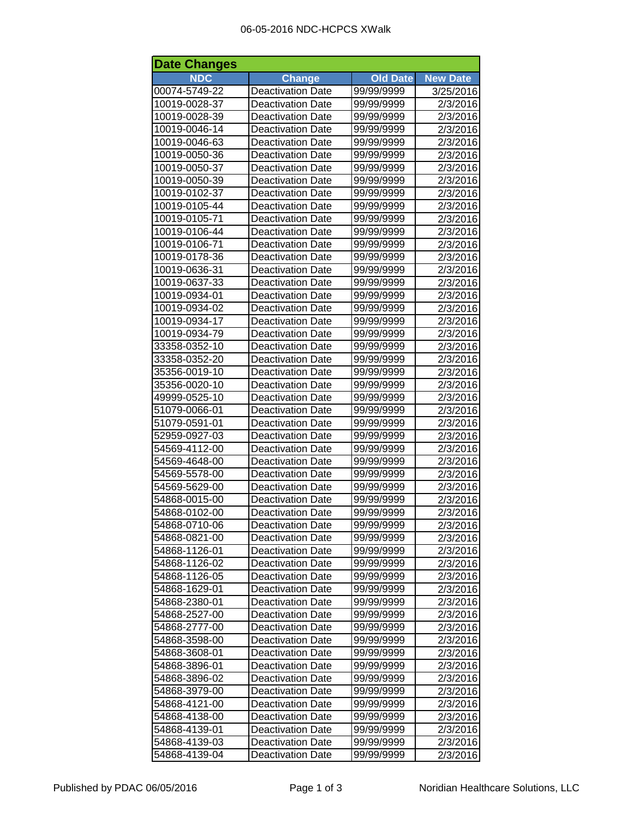| <b>Date Changes</b> |                          |                 |                 |  |  |
|---------------------|--------------------------|-----------------|-----------------|--|--|
| <b>NDC</b>          | <b>Change</b>            | <b>Old Date</b> | <b>New Date</b> |  |  |
| 00074-5749-22       | <b>Deactivation Date</b> | 99/99/9999      | 3/25/2016       |  |  |
| 10019-0028-37       | <b>Deactivation Date</b> | 99/99/9999      | 2/3/2016        |  |  |
| 10019-0028-39       | <b>Deactivation Date</b> | 99/99/9999      | 2/3/2016        |  |  |
| 10019-0046-14       | <b>Deactivation Date</b> | 99/99/9999      | 2/3/2016        |  |  |
| 10019-0046-63       | <b>Deactivation Date</b> | 99/99/9999      | 2/3/2016        |  |  |
| 10019-0050-36       | <b>Deactivation Date</b> | 99/99/9999      | 2/3/2016        |  |  |
| 10019-0050-37       | <b>Deactivation Date</b> | 99/99/9999      | 2/3/2016        |  |  |
| 10019-0050-39       | <b>Deactivation Date</b> | 99/99/9999      | 2/3/2016        |  |  |
| 10019-0102-37       | <b>Deactivation Date</b> | 99/99/9999      | 2/3/2016        |  |  |
| 10019-0105-44       | <b>Deactivation Date</b> | 99/99/9999      | 2/3/2016        |  |  |
| 10019-0105-71       | <b>Deactivation Date</b> | 99/99/9999      | 2/3/2016        |  |  |
| 10019-0106-44       | <b>Deactivation Date</b> | 99/99/9999      | 2/3/2016        |  |  |
| 10019-0106-71       | <b>Deactivation Date</b> | 99/99/9999      | 2/3/2016        |  |  |
| 10019-0178-36       | <b>Deactivation Date</b> | 99/99/9999      | 2/3/2016        |  |  |
| 10019-0636-31       | <b>Deactivation Date</b> | 99/99/9999      | 2/3/2016        |  |  |
| 10019-0637-33       | <b>Deactivation Date</b> | 99/99/9999      | 2/3/2016        |  |  |
| 10019-0934-01       | <b>Deactivation Date</b> | 99/99/9999      | 2/3/2016        |  |  |
| 10019-0934-02       | <b>Deactivation Date</b> | 99/99/9999      | 2/3/2016        |  |  |
| 10019-0934-17       | <b>Deactivation Date</b> | 99/99/9999      | 2/3/2016        |  |  |
| 10019-0934-79       | <b>Deactivation Date</b> | 99/99/9999      | 2/3/2016        |  |  |
| 33358-0352-10       | <b>Deactivation Date</b> | 99/99/9999      | 2/3/2016        |  |  |
| 33358-0352-20       | <b>Deactivation Date</b> | 99/99/9999      | 2/3/2016        |  |  |
| 35356-0019-10       | <b>Deactivation Date</b> | 99/99/9999      | 2/3/2016        |  |  |
| 35356-0020-10       | <b>Deactivation Date</b> | 99/99/9999      | 2/3/2016        |  |  |
| 49999-0525-10       | <b>Deactivation Date</b> | 99/99/9999      | 2/3/2016        |  |  |
| 51079-0066-01       | <b>Deactivation Date</b> | 99/99/9999      | 2/3/2016        |  |  |
| 51079-0591-01       | <b>Deactivation Date</b> | 99/99/9999      | 2/3/2016        |  |  |
| 52959-0927-03       | <b>Deactivation Date</b> | 99/99/9999      | 2/3/2016        |  |  |
| 54569-4112-00       | <b>Deactivation Date</b> | 99/99/9999      | 2/3/2016        |  |  |
| 54569-4648-00       | <b>Deactivation Date</b> | 99/99/9999      | 2/3/2016        |  |  |
| 54569-5578-00       | <b>Deactivation Date</b> | 99/99/9999      | 2/3/2016        |  |  |
| 54569-5629-00       | <b>Deactivation Date</b> | 99/99/9999      | 2/3/2016        |  |  |
| 54868-0015-00       | <b>Deactivation Date</b> | 99/99/9999      | 2/3/2016        |  |  |
| 54868-0102-00       | <b>Deactivation Date</b> | 99/99/9999      | 2/3/2016        |  |  |
| 54868-0710-06       | Deactivation Date        | 99/99/9999      | 2/3/2016        |  |  |
| 54868-0821-00       | <b>Deactivation Date</b> | 99/99/9999      | 2/3/2016        |  |  |
| 54868-1126-01       | <b>Deactivation Date</b> | 99/99/9999      | 2/3/2016        |  |  |
| 54868-1126-02       | <b>Deactivation Date</b> | 99/99/9999      | 2/3/2016        |  |  |
| 54868-1126-05       | <b>Deactivation Date</b> | 99/99/9999      | 2/3/2016        |  |  |
| 54868-1629-01       | <b>Deactivation Date</b> | 99/99/9999      | 2/3/2016        |  |  |
| 54868-2380-01       | <b>Deactivation Date</b> | 99/99/9999      | 2/3/2016        |  |  |
| 54868-2527-00       | <b>Deactivation Date</b> | 99/99/9999      | 2/3/2016        |  |  |
| 54868-2777-00       | <b>Deactivation Date</b> | 99/99/9999      | 2/3/2016        |  |  |
| 54868-3598-00       | <b>Deactivation Date</b> | 99/99/9999      | 2/3/2016        |  |  |
| 54868-3608-01       | <b>Deactivation Date</b> | 99/99/9999      | 2/3/2016        |  |  |
| 54868-3896-01       | Deactivation Date        | 99/99/9999      | 2/3/2016        |  |  |
| 54868-3896-02       | <b>Deactivation Date</b> | 99/99/9999      | 2/3/2016        |  |  |
| 54868-3979-00       | <b>Deactivation Date</b> | 99/99/9999      | 2/3/2016        |  |  |
| 54868-4121-00       | <b>Deactivation Date</b> | 99/99/9999      | 2/3/2016        |  |  |
| 54868-4138-00       | <b>Deactivation Date</b> | 99/99/9999      | 2/3/2016        |  |  |
| 54868-4139-01       | <b>Deactivation Date</b> | 99/99/9999      | 2/3/2016        |  |  |
| 54868-4139-03       | <b>Deactivation Date</b> | 99/99/9999      | 2/3/2016        |  |  |
| 54868-4139-04       | <b>Deactivation Date</b> | 99/99/9999      | 2/3/2016        |  |  |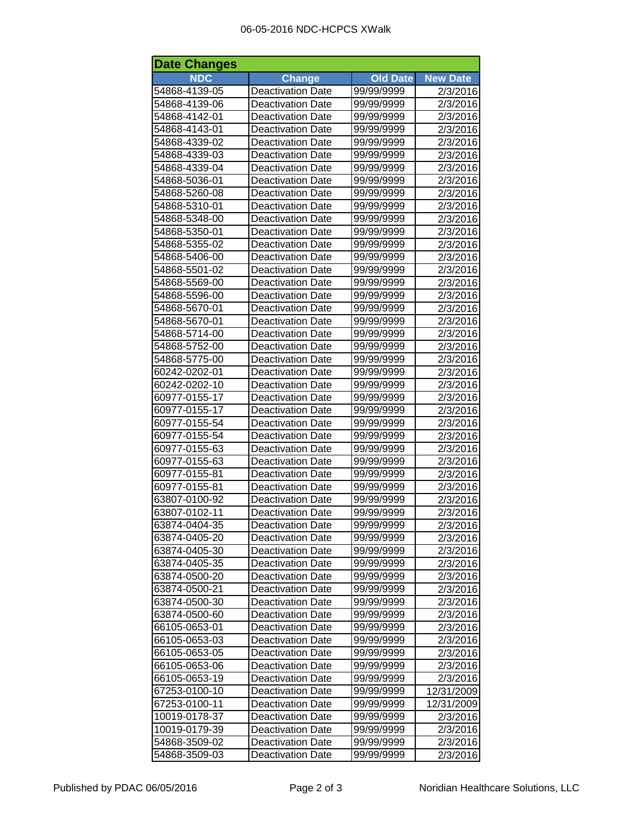## 06-05-2016 NDC-HCPCS XWalk

| <b>NDC</b><br><b>Change</b><br><b>New Date</b><br><b>Old Date</b><br>54868-4139-05<br><b>Deactivation Date</b><br>99/99/9999<br>2/3/2016<br>54868-4139-06<br><b>Deactivation Date</b><br>99/99/9999<br>2/3/2016<br>54868-4142-01<br>99/99/9999<br><b>Deactivation Date</b><br>2/3/2016<br>54868-4143-01<br>99/99/9999<br><b>Deactivation Date</b><br>2/3/2016<br>54868-4339-02<br>99/99/9999<br><b>Deactivation Date</b><br>2/3/2016<br>54868-4339-03<br><b>Deactivation Date</b><br>99/99/9999<br>2/3/2016<br>54868-4339-04<br><b>Deactivation Date</b><br>99/99/9999<br>2/3/2016<br>54868-5036-01<br><b>Deactivation Date</b><br>99/99/9999<br>2/3/2016<br>54868-5260-08<br><b>Deactivation Date</b><br>99/99/9999<br>2/3/2016<br>54868-5310-01<br><b>Deactivation Date</b><br>99/99/9999<br>2/3/2016<br>54868-5348-00<br><b>Deactivation Date</b><br>99/99/9999<br>2/3/2016<br>54868-5350-01<br><b>Deactivation Date</b><br>99/99/9999<br>2/3/2016<br>54868-5355-02<br><b>Deactivation Date</b><br>99/99/9999<br>2/3/2016<br><b>Deactivation Date</b><br>54868-5406-00<br>99/99/9999<br>2/3/2016<br><b>Deactivation Date</b><br>54868-5501-02<br>99/99/9999<br>2/3/2016<br>54868-5569-00<br><b>Deactivation Date</b><br>99/99/9999<br>2/3/2016<br>54868-5596-00<br><b>Deactivation Date</b><br>2/3/2016<br>99/99/9999<br>54868-5670-01<br><b>Deactivation Date</b><br>99/99/9999<br>2/3/2016<br>54868-5670-01<br>99/99/9999<br>2/3/2016<br><b>Deactivation Date</b><br>54868-5714-00<br>2/3/2016<br><b>Deactivation Date</b><br>99/99/9999<br>2/3/2016<br>54868-5752-00<br><b>Deactivation Date</b><br>99/99/9999<br>54868-5775-00<br><b>Deactivation Date</b><br>2/3/2016<br>99/99/9999<br>60242-0202-01<br><b>Deactivation Date</b><br>2/3/2016<br>99/99/9999<br>60242-0202-10<br><b>Deactivation Date</b><br>2/3/2016<br>99/99/9999<br><b>Deactivation Date</b><br>60977-0155-17<br>99/99/9999<br>2/3/2016<br>60977-0155-17<br><b>Deactivation Date</b><br>2/3/2016<br>99/99/9999<br>60977-0155-54<br><b>Deactivation Date</b><br>99/99/9999<br>2/3/2016<br>60977-0155-54<br><b>Deactivation Date</b><br>99/99/9999<br>2/3/2016<br>60977-0155-63<br><b>Deactivation Date</b><br>99/99/9999<br>2/3/2016<br>60977-0155-63<br><b>Deactivation Date</b><br>99/99/9999<br>2/3/2016<br>60977-0155-81<br><b>Deactivation Date</b><br>99/99/9999<br>2/3/2016<br>60977-0155-81<br><b>Deactivation Date</b><br>99/99/9999<br>2/3/2016<br><b>Deactivation Date</b><br>63807-0100-92<br>99/99/9999<br>2/3/2016<br>63807-0102-11<br><b>Deactivation Date</b><br>99/99/9999<br>2/3/2016<br>63874-0404-35<br><b>Deactivation Date</b><br>99/99/9999<br>2/3/2016<br>63874-0405-20<br><b>Deactivation Date</b><br>99/99/9999<br>2/3/2016<br>63874-0405-30<br><b>Deactivation Date</b><br>99/99/9999<br>2/3/2016<br>63874-0405-35<br><b>Deactivation Date</b><br>99/99/9999<br>2/3/2016<br><b>Deactivation Date</b><br>63874-0500-20<br>99/99/9999<br>2/3/2016<br><b>Deactivation Date</b><br>63874-0500-21<br>99/99/9999<br>2/3/2016<br><b>Deactivation Date</b><br>63874-0500-30<br>99/99/9999<br>2/3/2016<br>63874-0500-60<br><b>Deactivation Date</b><br>99/99/9999<br>2/3/2016<br>66105-0653-01<br><b>Deactivation Date</b><br>99/99/9999<br>2/3/2016<br>66105-0653-03<br>2/3/2016<br><b>Deactivation Date</b><br>99/99/9999<br>66105-0653-05<br><b>Deactivation Date</b><br>2/3/2016<br>99/99/9999<br>66105-0653-06<br><b>Deactivation Date</b><br>2/3/2016<br>99/99/9999<br>66105-0653-19<br><b>Deactivation Date</b><br>99/99/9999<br>2/3/2016<br>67253-0100-10<br><b>Deactivation Date</b><br>99/99/9999<br>12/31/2009<br>67253-0100-11<br><b>Deactivation Date</b><br>12/31/2009<br>99/99/9999<br>10019-0178-37<br><b>Deactivation Date</b><br>99/99/9999<br>2/3/2016<br>99/99/9999<br>2/3/2016<br>10019-0179-39<br><b>Deactivation Date</b><br>54868-3509-02<br>99/99/9999<br>Deactivation Date<br>2/3/2016<br>54868-3509-03<br><b>Deactivation Date</b><br>99/99/9999<br>2/3/2016 | <b>Date Changes</b> |  |  |  |  |  |  |
|-----------------------------------------------------------------------------------------------------------------------------------------------------------------------------------------------------------------------------------------------------------------------------------------------------------------------------------------------------------------------------------------------------------------------------------------------------------------------------------------------------------------------------------------------------------------------------------------------------------------------------------------------------------------------------------------------------------------------------------------------------------------------------------------------------------------------------------------------------------------------------------------------------------------------------------------------------------------------------------------------------------------------------------------------------------------------------------------------------------------------------------------------------------------------------------------------------------------------------------------------------------------------------------------------------------------------------------------------------------------------------------------------------------------------------------------------------------------------------------------------------------------------------------------------------------------------------------------------------------------------------------------------------------------------------------------------------------------------------------------------------------------------------------------------------------------------------------------------------------------------------------------------------------------------------------------------------------------------------------------------------------------------------------------------------------------------------------------------------------------------------------------------------------------------------------------------------------------------------------------------------------------------------------------------------------------------------------------------------------------------------------------------------------------------------------------------------------------------------------------------------------------------------------------------------------------------------------------------------------------------------------------------------------------------------------------------------------------------------------------------------------------------------------------------------------------------------------------------------------------------------------------------------------------------------------------------------------------------------------------------------------------------------------------------------------------------------------------------------------------------------------------------------------------------------------------------------------------------------------------------------------------------------------------------------------------------------------------------------------------------------------------------------------------------------------------------------------------------------------------------------------------------------------------------------------------------------------------------------------------------------------------------------------------------------------------------------------------------------------------------------------------------------------------------------------------------------------------------------------------------------------------------------------------------------------------------------------------------------------|---------------------|--|--|--|--|--|--|
|                                                                                                                                                                                                                                                                                                                                                                                                                                                                                                                                                                                                                                                                                                                                                                                                                                                                                                                                                                                                                                                                                                                                                                                                                                                                                                                                                                                                                                                                                                                                                                                                                                                                                                                                                                                                                                                                                                                                                                                                                                                                                                                                                                                                                                                                                                                                                                                                                                                                                                                                                                                                                                                                                                                                                                                                                                                                                                                                                                                                                                                                                                                                                                                                                                                                                                                                                                                                                                                                                                                                                                                                                                                                                                                                                                                                                                                                                                                                                                                   |                     |  |  |  |  |  |  |
|                                                                                                                                                                                                                                                                                                                                                                                                                                                                                                                                                                                                                                                                                                                                                                                                                                                                                                                                                                                                                                                                                                                                                                                                                                                                                                                                                                                                                                                                                                                                                                                                                                                                                                                                                                                                                                                                                                                                                                                                                                                                                                                                                                                                                                                                                                                                                                                                                                                                                                                                                                                                                                                                                                                                                                                                                                                                                                                                                                                                                                                                                                                                                                                                                                                                                                                                                                                                                                                                                                                                                                                                                                                                                                                                                                                                                                                                                                                                                                                   |                     |  |  |  |  |  |  |
|                                                                                                                                                                                                                                                                                                                                                                                                                                                                                                                                                                                                                                                                                                                                                                                                                                                                                                                                                                                                                                                                                                                                                                                                                                                                                                                                                                                                                                                                                                                                                                                                                                                                                                                                                                                                                                                                                                                                                                                                                                                                                                                                                                                                                                                                                                                                                                                                                                                                                                                                                                                                                                                                                                                                                                                                                                                                                                                                                                                                                                                                                                                                                                                                                                                                                                                                                                                                                                                                                                                                                                                                                                                                                                                                                                                                                                                                                                                                                                                   |                     |  |  |  |  |  |  |
|                                                                                                                                                                                                                                                                                                                                                                                                                                                                                                                                                                                                                                                                                                                                                                                                                                                                                                                                                                                                                                                                                                                                                                                                                                                                                                                                                                                                                                                                                                                                                                                                                                                                                                                                                                                                                                                                                                                                                                                                                                                                                                                                                                                                                                                                                                                                                                                                                                                                                                                                                                                                                                                                                                                                                                                                                                                                                                                                                                                                                                                                                                                                                                                                                                                                                                                                                                                                                                                                                                                                                                                                                                                                                                                                                                                                                                                                                                                                                                                   |                     |  |  |  |  |  |  |
|                                                                                                                                                                                                                                                                                                                                                                                                                                                                                                                                                                                                                                                                                                                                                                                                                                                                                                                                                                                                                                                                                                                                                                                                                                                                                                                                                                                                                                                                                                                                                                                                                                                                                                                                                                                                                                                                                                                                                                                                                                                                                                                                                                                                                                                                                                                                                                                                                                                                                                                                                                                                                                                                                                                                                                                                                                                                                                                                                                                                                                                                                                                                                                                                                                                                                                                                                                                                                                                                                                                                                                                                                                                                                                                                                                                                                                                                                                                                                                                   |                     |  |  |  |  |  |  |
|                                                                                                                                                                                                                                                                                                                                                                                                                                                                                                                                                                                                                                                                                                                                                                                                                                                                                                                                                                                                                                                                                                                                                                                                                                                                                                                                                                                                                                                                                                                                                                                                                                                                                                                                                                                                                                                                                                                                                                                                                                                                                                                                                                                                                                                                                                                                                                                                                                                                                                                                                                                                                                                                                                                                                                                                                                                                                                                                                                                                                                                                                                                                                                                                                                                                                                                                                                                                                                                                                                                                                                                                                                                                                                                                                                                                                                                                                                                                                                                   |                     |  |  |  |  |  |  |
|                                                                                                                                                                                                                                                                                                                                                                                                                                                                                                                                                                                                                                                                                                                                                                                                                                                                                                                                                                                                                                                                                                                                                                                                                                                                                                                                                                                                                                                                                                                                                                                                                                                                                                                                                                                                                                                                                                                                                                                                                                                                                                                                                                                                                                                                                                                                                                                                                                                                                                                                                                                                                                                                                                                                                                                                                                                                                                                                                                                                                                                                                                                                                                                                                                                                                                                                                                                                                                                                                                                                                                                                                                                                                                                                                                                                                                                                                                                                                                                   |                     |  |  |  |  |  |  |
|                                                                                                                                                                                                                                                                                                                                                                                                                                                                                                                                                                                                                                                                                                                                                                                                                                                                                                                                                                                                                                                                                                                                                                                                                                                                                                                                                                                                                                                                                                                                                                                                                                                                                                                                                                                                                                                                                                                                                                                                                                                                                                                                                                                                                                                                                                                                                                                                                                                                                                                                                                                                                                                                                                                                                                                                                                                                                                                                                                                                                                                                                                                                                                                                                                                                                                                                                                                                                                                                                                                                                                                                                                                                                                                                                                                                                                                                                                                                                                                   |                     |  |  |  |  |  |  |
|                                                                                                                                                                                                                                                                                                                                                                                                                                                                                                                                                                                                                                                                                                                                                                                                                                                                                                                                                                                                                                                                                                                                                                                                                                                                                                                                                                                                                                                                                                                                                                                                                                                                                                                                                                                                                                                                                                                                                                                                                                                                                                                                                                                                                                                                                                                                                                                                                                                                                                                                                                                                                                                                                                                                                                                                                                                                                                                                                                                                                                                                                                                                                                                                                                                                                                                                                                                                                                                                                                                                                                                                                                                                                                                                                                                                                                                                                                                                                                                   |                     |  |  |  |  |  |  |
|                                                                                                                                                                                                                                                                                                                                                                                                                                                                                                                                                                                                                                                                                                                                                                                                                                                                                                                                                                                                                                                                                                                                                                                                                                                                                                                                                                                                                                                                                                                                                                                                                                                                                                                                                                                                                                                                                                                                                                                                                                                                                                                                                                                                                                                                                                                                                                                                                                                                                                                                                                                                                                                                                                                                                                                                                                                                                                                                                                                                                                                                                                                                                                                                                                                                                                                                                                                                                                                                                                                                                                                                                                                                                                                                                                                                                                                                                                                                                                                   |                     |  |  |  |  |  |  |
|                                                                                                                                                                                                                                                                                                                                                                                                                                                                                                                                                                                                                                                                                                                                                                                                                                                                                                                                                                                                                                                                                                                                                                                                                                                                                                                                                                                                                                                                                                                                                                                                                                                                                                                                                                                                                                                                                                                                                                                                                                                                                                                                                                                                                                                                                                                                                                                                                                                                                                                                                                                                                                                                                                                                                                                                                                                                                                                                                                                                                                                                                                                                                                                                                                                                                                                                                                                                                                                                                                                                                                                                                                                                                                                                                                                                                                                                                                                                                                                   |                     |  |  |  |  |  |  |
|                                                                                                                                                                                                                                                                                                                                                                                                                                                                                                                                                                                                                                                                                                                                                                                                                                                                                                                                                                                                                                                                                                                                                                                                                                                                                                                                                                                                                                                                                                                                                                                                                                                                                                                                                                                                                                                                                                                                                                                                                                                                                                                                                                                                                                                                                                                                                                                                                                                                                                                                                                                                                                                                                                                                                                                                                                                                                                                                                                                                                                                                                                                                                                                                                                                                                                                                                                                                                                                                                                                                                                                                                                                                                                                                                                                                                                                                                                                                                                                   |                     |  |  |  |  |  |  |
|                                                                                                                                                                                                                                                                                                                                                                                                                                                                                                                                                                                                                                                                                                                                                                                                                                                                                                                                                                                                                                                                                                                                                                                                                                                                                                                                                                                                                                                                                                                                                                                                                                                                                                                                                                                                                                                                                                                                                                                                                                                                                                                                                                                                                                                                                                                                                                                                                                                                                                                                                                                                                                                                                                                                                                                                                                                                                                                                                                                                                                                                                                                                                                                                                                                                                                                                                                                                                                                                                                                                                                                                                                                                                                                                                                                                                                                                                                                                                                                   |                     |  |  |  |  |  |  |
|                                                                                                                                                                                                                                                                                                                                                                                                                                                                                                                                                                                                                                                                                                                                                                                                                                                                                                                                                                                                                                                                                                                                                                                                                                                                                                                                                                                                                                                                                                                                                                                                                                                                                                                                                                                                                                                                                                                                                                                                                                                                                                                                                                                                                                                                                                                                                                                                                                                                                                                                                                                                                                                                                                                                                                                                                                                                                                                                                                                                                                                                                                                                                                                                                                                                                                                                                                                                                                                                                                                                                                                                                                                                                                                                                                                                                                                                                                                                                                                   |                     |  |  |  |  |  |  |
|                                                                                                                                                                                                                                                                                                                                                                                                                                                                                                                                                                                                                                                                                                                                                                                                                                                                                                                                                                                                                                                                                                                                                                                                                                                                                                                                                                                                                                                                                                                                                                                                                                                                                                                                                                                                                                                                                                                                                                                                                                                                                                                                                                                                                                                                                                                                                                                                                                                                                                                                                                                                                                                                                                                                                                                                                                                                                                                                                                                                                                                                                                                                                                                                                                                                                                                                                                                                                                                                                                                                                                                                                                                                                                                                                                                                                                                                                                                                                                                   |                     |  |  |  |  |  |  |
|                                                                                                                                                                                                                                                                                                                                                                                                                                                                                                                                                                                                                                                                                                                                                                                                                                                                                                                                                                                                                                                                                                                                                                                                                                                                                                                                                                                                                                                                                                                                                                                                                                                                                                                                                                                                                                                                                                                                                                                                                                                                                                                                                                                                                                                                                                                                                                                                                                                                                                                                                                                                                                                                                                                                                                                                                                                                                                                                                                                                                                                                                                                                                                                                                                                                                                                                                                                                                                                                                                                                                                                                                                                                                                                                                                                                                                                                                                                                                                                   |                     |  |  |  |  |  |  |
|                                                                                                                                                                                                                                                                                                                                                                                                                                                                                                                                                                                                                                                                                                                                                                                                                                                                                                                                                                                                                                                                                                                                                                                                                                                                                                                                                                                                                                                                                                                                                                                                                                                                                                                                                                                                                                                                                                                                                                                                                                                                                                                                                                                                                                                                                                                                                                                                                                                                                                                                                                                                                                                                                                                                                                                                                                                                                                                                                                                                                                                                                                                                                                                                                                                                                                                                                                                                                                                                                                                                                                                                                                                                                                                                                                                                                                                                                                                                                                                   |                     |  |  |  |  |  |  |
|                                                                                                                                                                                                                                                                                                                                                                                                                                                                                                                                                                                                                                                                                                                                                                                                                                                                                                                                                                                                                                                                                                                                                                                                                                                                                                                                                                                                                                                                                                                                                                                                                                                                                                                                                                                                                                                                                                                                                                                                                                                                                                                                                                                                                                                                                                                                                                                                                                                                                                                                                                                                                                                                                                                                                                                                                                                                                                                                                                                                                                                                                                                                                                                                                                                                                                                                                                                                                                                                                                                                                                                                                                                                                                                                                                                                                                                                                                                                                                                   |                     |  |  |  |  |  |  |
|                                                                                                                                                                                                                                                                                                                                                                                                                                                                                                                                                                                                                                                                                                                                                                                                                                                                                                                                                                                                                                                                                                                                                                                                                                                                                                                                                                                                                                                                                                                                                                                                                                                                                                                                                                                                                                                                                                                                                                                                                                                                                                                                                                                                                                                                                                                                                                                                                                                                                                                                                                                                                                                                                                                                                                                                                                                                                                                                                                                                                                                                                                                                                                                                                                                                                                                                                                                                                                                                                                                                                                                                                                                                                                                                                                                                                                                                                                                                                                                   |                     |  |  |  |  |  |  |
|                                                                                                                                                                                                                                                                                                                                                                                                                                                                                                                                                                                                                                                                                                                                                                                                                                                                                                                                                                                                                                                                                                                                                                                                                                                                                                                                                                                                                                                                                                                                                                                                                                                                                                                                                                                                                                                                                                                                                                                                                                                                                                                                                                                                                                                                                                                                                                                                                                                                                                                                                                                                                                                                                                                                                                                                                                                                                                                                                                                                                                                                                                                                                                                                                                                                                                                                                                                                                                                                                                                                                                                                                                                                                                                                                                                                                                                                                                                                                                                   |                     |  |  |  |  |  |  |
|                                                                                                                                                                                                                                                                                                                                                                                                                                                                                                                                                                                                                                                                                                                                                                                                                                                                                                                                                                                                                                                                                                                                                                                                                                                                                                                                                                                                                                                                                                                                                                                                                                                                                                                                                                                                                                                                                                                                                                                                                                                                                                                                                                                                                                                                                                                                                                                                                                                                                                                                                                                                                                                                                                                                                                                                                                                                                                                                                                                                                                                                                                                                                                                                                                                                                                                                                                                                                                                                                                                                                                                                                                                                                                                                                                                                                                                                                                                                                                                   |                     |  |  |  |  |  |  |
|                                                                                                                                                                                                                                                                                                                                                                                                                                                                                                                                                                                                                                                                                                                                                                                                                                                                                                                                                                                                                                                                                                                                                                                                                                                                                                                                                                                                                                                                                                                                                                                                                                                                                                                                                                                                                                                                                                                                                                                                                                                                                                                                                                                                                                                                                                                                                                                                                                                                                                                                                                                                                                                                                                                                                                                                                                                                                                                                                                                                                                                                                                                                                                                                                                                                                                                                                                                                                                                                                                                                                                                                                                                                                                                                                                                                                                                                                                                                                                                   |                     |  |  |  |  |  |  |
|                                                                                                                                                                                                                                                                                                                                                                                                                                                                                                                                                                                                                                                                                                                                                                                                                                                                                                                                                                                                                                                                                                                                                                                                                                                                                                                                                                                                                                                                                                                                                                                                                                                                                                                                                                                                                                                                                                                                                                                                                                                                                                                                                                                                                                                                                                                                                                                                                                                                                                                                                                                                                                                                                                                                                                                                                                                                                                                                                                                                                                                                                                                                                                                                                                                                                                                                                                                                                                                                                                                                                                                                                                                                                                                                                                                                                                                                                                                                                                                   |                     |  |  |  |  |  |  |
|                                                                                                                                                                                                                                                                                                                                                                                                                                                                                                                                                                                                                                                                                                                                                                                                                                                                                                                                                                                                                                                                                                                                                                                                                                                                                                                                                                                                                                                                                                                                                                                                                                                                                                                                                                                                                                                                                                                                                                                                                                                                                                                                                                                                                                                                                                                                                                                                                                                                                                                                                                                                                                                                                                                                                                                                                                                                                                                                                                                                                                                                                                                                                                                                                                                                                                                                                                                                                                                                                                                                                                                                                                                                                                                                                                                                                                                                                                                                                                                   |                     |  |  |  |  |  |  |
|                                                                                                                                                                                                                                                                                                                                                                                                                                                                                                                                                                                                                                                                                                                                                                                                                                                                                                                                                                                                                                                                                                                                                                                                                                                                                                                                                                                                                                                                                                                                                                                                                                                                                                                                                                                                                                                                                                                                                                                                                                                                                                                                                                                                                                                                                                                                                                                                                                                                                                                                                                                                                                                                                                                                                                                                                                                                                                                                                                                                                                                                                                                                                                                                                                                                                                                                                                                                                                                                                                                                                                                                                                                                                                                                                                                                                                                                                                                                                                                   |                     |  |  |  |  |  |  |
|                                                                                                                                                                                                                                                                                                                                                                                                                                                                                                                                                                                                                                                                                                                                                                                                                                                                                                                                                                                                                                                                                                                                                                                                                                                                                                                                                                                                                                                                                                                                                                                                                                                                                                                                                                                                                                                                                                                                                                                                                                                                                                                                                                                                                                                                                                                                                                                                                                                                                                                                                                                                                                                                                                                                                                                                                                                                                                                                                                                                                                                                                                                                                                                                                                                                                                                                                                                                                                                                                                                                                                                                                                                                                                                                                                                                                                                                                                                                                                                   |                     |  |  |  |  |  |  |
|                                                                                                                                                                                                                                                                                                                                                                                                                                                                                                                                                                                                                                                                                                                                                                                                                                                                                                                                                                                                                                                                                                                                                                                                                                                                                                                                                                                                                                                                                                                                                                                                                                                                                                                                                                                                                                                                                                                                                                                                                                                                                                                                                                                                                                                                                                                                                                                                                                                                                                                                                                                                                                                                                                                                                                                                                                                                                                                                                                                                                                                                                                                                                                                                                                                                                                                                                                                                                                                                                                                                                                                                                                                                                                                                                                                                                                                                                                                                                                                   |                     |  |  |  |  |  |  |
|                                                                                                                                                                                                                                                                                                                                                                                                                                                                                                                                                                                                                                                                                                                                                                                                                                                                                                                                                                                                                                                                                                                                                                                                                                                                                                                                                                                                                                                                                                                                                                                                                                                                                                                                                                                                                                                                                                                                                                                                                                                                                                                                                                                                                                                                                                                                                                                                                                                                                                                                                                                                                                                                                                                                                                                                                                                                                                                                                                                                                                                                                                                                                                                                                                                                                                                                                                                                                                                                                                                                                                                                                                                                                                                                                                                                                                                                                                                                                                                   |                     |  |  |  |  |  |  |
|                                                                                                                                                                                                                                                                                                                                                                                                                                                                                                                                                                                                                                                                                                                                                                                                                                                                                                                                                                                                                                                                                                                                                                                                                                                                                                                                                                                                                                                                                                                                                                                                                                                                                                                                                                                                                                                                                                                                                                                                                                                                                                                                                                                                                                                                                                                                                                                                                                                                                                                                                                                                                                                                                                                                                                                                                                                                                                                                                                                                                                                                                                                                                                                                                                                                                                                                                                                                                                                                                                                                                                                                                                                                                                                                                                                                                                                                                                                                                                                   |                     |  |  |  |  |  |  |
|                                                                                                                                                                                                                                                                                                                                                                                                                                                                                                                                                                                                                                                                                                                                                                                                                                                                                                                                                                                                                                                                                                                                                                                                                                                                                                                                                                                                                                                                                                                                                                                                                                                                                                                                                                                                                                                                                                                                                                                                                                                                                                                                                                                                                                                                                                                                                                                                                                                                                                                                                                                                                                                                                                                                                                                                                                                                                                                                                                                                                                                                                                                                                                                                                                                                                                                                                                                                                                                                                                                                                                                                                                                                                                                                                                                                                                                                                                                                                                                   |                     |  |  |  |  |  |  |
|                                                                                                                                                                                                                                                                                                                                                                                                                                                                                                                                                                                                                                                                                                                                                                                                                                                                                                                                                                                                                                                                                                                                                                                                                                                                                                                                                                                                                                                                                                                                                                                                                                                                                                                                                                                                                                                                                                                                                                                                                                                                                                                                                                                                                                                                                                                                                                                                                                                                                                                                                                                                                                                                                                                                                                                                                                                                                                                                                                                                                                                                                                                                                                                                                                                                                                                                                                                                                                                                                                                                                                                                                                                                                                                                                                                                                                                                                                                                                                                   |                     |  |  |  |  |  |  |
|                                                                                                                                                                                                                                                                                                                                                                                                                                                                                                                                                                                                                                                                                                                                                                                                                                                                                                                                                                                                                                                                                                                                                                                                                                                                                                                                                                                                                                                                                                                                                                                                                                                                                                                                                                                                                                                                                                                                                                                                                                                                                                                                                                                                                                                                                                                                                                                                                                                                                                                                                                                                                                                                                                                                                                                                                                                                                                                                                                                                                                                                                                                                                                                                                                                                                                                                                                                                                                                                                                                                                                                                                                                                                                                                                                                                                                                                                                                                                                                   |                     |  |  |  |  |  |  |
|                                                                                                                                                                                                                                                                                                                                                                                                                                                                                                                                                                                                                                                                                                                                                                                                                                                                                                                                                                                                                                                                                                                                                                                                                                                                                                                                                                                                                                                                                                                                                                                                                                                                                                                                                                                                                                                                                                                                                                                                                                                                                                                                                                                                                                                                                                                                                                                                                                                                                                                                                                                                                                                                                                                                                                                                                                                                                                                                                                                                                                                                                                                                                                                                                                                                                                                                                                                                                                                                                                                                                                                                                                                                                                                                                                                                                                                                                                                                                                                   |                     |  |  |  |  |  |  |
|                                                                                                                                                                                                                                                                                                                                                                                                                                                                                                                                                                                                                                                                                                                                                                                                                                                                                                                                                                                                                                                                                                                                                                                                                                                                                                                                                                                                                                                                                                                                                                                                                                                                                                                                                                                                                                                                                                                                                                                                                                                                                                                                                                                                                                                                                                                                                                                                                                                                                                                                                                                                                                                                                                                                                                                                                                                                                                                                                                                                                                                                                                                                                                                                                                                                                                                                                                                                                                                                                                                                                                                                                                                                                                                                                                                                                                                                                                                                                                                   |                     |  |  |  |  |  |  |
|                                                                                                                                                                                                                                                                                                                                                                                                                                                                                                                                                                                                                                                                                                                                                                                                                                                                                                                                                                                                                                                                                                                                                                                                                                                                                                                                                                                                                                                                                                                                                                                                                                                                                                                                                                                                                                                                                                                                                                                                                                                                                                                                                                                                                                                                                                                                                                                                                                                                                                                                                                                                                                                                                                                                                                                                                                                                                                                                                                                                                                                                                                                                                                                                                                                                                                                                                                                                                                                                                                                                                                                                                                                                                                                                                                                                                                                                                                                                                                                   |                     |  |  |  |  |  |  |
|                                                                                                                                                                                                                                                                                                                                                                                                                                                                                                                                                                                                                                                                                                                                                                                                                                                                                                                                                                                                                                                                                                                                                                                                                                                                                                                                                                                                                                                                                                                                                                                                                                                                                                                                                                                                                                                                                                                                                                                                                                                                                                                                                                                                                                                                                                                                                                                                                                                                                                                                                                                                                                                                                                                                                                                                                                                                                                                                                                                                                                                                                                                                                                                                                                                                                                                                                                                                                                                                                                                                                                                                                                                                                                                                                                                                                                                                                                                                                                                   |                     |  |  |  |  |  |  |
|                                                                                                                                                                                                                                                                                                                                                                                                                                                                                                                                                                                                                                                                                                                                                                                                                                                                                                                                                                                                                                                                                                                                                                                                                                                                                                                                                                                                                                                                                                                                                                                                                                                                                                                                                                                                                                                                                                                                                                                                                                                                                                                                                                                                                                                                                                                                                                                                                                                                                                                                                                                                                                                                                                                                                                                                                                                                                                                                                                                                                                                                                                                                                                                                                                                                                                                                                                                                                                                                                                                                                                                                                                                                                                                                                                                                                                                                                                                                                                                   |                     |  |  |  |  |  |  |
|                                                                                                                                                                                                                                                                                                                                                                                                                                                                                                                                                                                                                                                                                                                                                                                                                                                                                                                                                                                                                                                                                                                                                                                                                                                                                                                                                                                                                                                                                                                                                                                                                                                                                                                                                                                                                                                                                                                                                                                                                                                                                                                                                                                                                                                                                                                                                                                                                                                                                                                                                                                                                                                                                                                                                                                                                                                                                                                                                                                                                                                                                                                                                                                                                                                                                                                                                                                                                                                                                                                                                                                                                                                                                                                                                                                                                                                                                                                                                                                   |                     |  |  |  |  |  |  |
|                                                                                                                                                                                                                                                                                                                                                                                                                                                                                                                                                                                                                                                                                                                                                                                                                                                                                                                                                                                                                                                                                                                                                                                                                                                                                                                                                                                                                                                                                                                                                                                                                                                                                                                                                                                                                                                                                                                                                                                                                                                                                                                                                                                                                                                                                                                                                                                                                                                                                                                                                                                                                                                                                                                                                                                                                                                                                                                                                                                                                                                                                                                                                                                                                                                                                                                                                                                                                                                                                                                                                                                                                                                                                                                                                                                                                                                                                                                                                                                   |                     |  |  |  |  |  |  |
|                                                                                                                                                                                                                                                                                                                                                                                                                                                                                                                                                                                                                                                                                                                                                                                                                                                                                                                                                                                                                                                                                                                                                                                                                                                                                                                                                                                                                                                                                                                                                                                                                                                                                                                                                                                                                                                                                                                                                                                                                                                                                                                                                                                                                                                                                                                                                                                                                                                                                                                                                                                                                                                                                                                                                                                                                                                                                                                                                                                                                                                                                                                                                                                                                                                                                                                                                                                                                                                                                                                                                                                                                                                                                                                                                                                                                                                                                                                                                                                   |                     |  |  |  |  |  |  |
|                                                                                                                                                                                                                                                                                                                                                                                                                                                                                                                                                                                                                                                                                                                                                                                                                                                                                                                                                                                                                                                                                                                                                                                                                                                                                                                                                                                                                                                                                                                                                                                                                                                                                                                                                                                                                                                                                                                                                                                                                                                                                                                                                                                                                                                                                                                                                                                                                                                                                                                                                                                                                                                                                                                                                                                                                                                                                                                                                                                                                                                                                                                                                                                                                                                                                                                                                                                                                                                                                                                                                                                                                                                                                                                                                                                                                                                                                                                                                                                   |                     |  |  |  |  |  |  |
|                                                                                                                                                                                                                                                                                                                                                                                                                                                                                                                                                                                                                                                                                                                                                                                                                                                                                                                                                                                                                                                                                                                                                                                                                                                                                                                                                                                                                                                                                                                                                                                                                                                                                                                                                                                                                                                                                                                                                                                                                                                                                                                                                                                                                                                                                                                                                                                                                                                                                                                                                                                                                                                                                                                                                                                                                                                                                                                                                                                                                                                                                                                                                                                                                                                                                                                                                                                                                                                                                                                                                                                                                                                                                                                                                                                                                                                                                                                                                                                   |                     |  |  |  |  |  |  |
|                                                                                                                                                                                                                                                                                                                                                                                                                                                                                                                                                                                                                                                                                                                                                                                                                                                                                                                                                                                                                                                                                                                                                                                                                                                                                                                                                                                                                                                                                                                                                                                                                                                                                                                                                                                                                                                                                                                                                                                                                                                                                                                                                                                                                                                                                                                                                                                                                                                                                                                                                                                                                                                                                                                                                                                                                                                                                                                                                                                                                                                                                                                                                                                                                                                                                                                                                                                                                                                                                                                                                                                                                                                                                                                                                                                                                                                                                                                                                                                   |                     |  |  |  |  |  |  |
|                                                                                                                                                                                                                                                                                                                                                                                                                                                                                                                                                                                                                                                                                                                                                                                                                                                                                                                                                                                                                                                                                                                                                                                                                                                                                                                                                                                                                                                                                                                                                                                                                                                                                                                                                                                                                                                                                                                                                                                                                                                                                                                                                                                                                                                                                                                                                                                                                                                                                                                                                                                                                                                                                                                                                                                                                                                                                                                                                                                                                                                                                                                                                                                                                                                                                                                                                                                                                                                                                                                                                                                                                                                                                                                                                                                                                                                                                                                                                                                   |                     |  |  |  |  |  |  |
|                                                                                                                                                                                                                                                                                                                                                                                                                                                                                                                                                                                                                                                                                                                                                                                                                                                                                                                                                                                                                                                                                                                                                                                                                                                                                                                                                                                                                                                                                                                                                                                                                                                                                                                                                                                                                                                                                                                                                                                                                                                                                                                                                                                                                                                                                                                                                                                                                                                                                                                                                                                                                                                                                                                                                                                                                                                                                                                                                                                                                                                                                                                                                                                                                                                                                                                                                                                                                                                                                                                                                                                                                                                                                                                                                                                                                                                                                                                                                                                   |                     |  |  |  |  |  |  |
|                                                                                                                                                                                                                                                                                                                                                                                                                                                                                                                                                                                                                                                                                                                                                                                                                                                                                                                                                                                                                                                                                                                                                                                                                                                                                                                                                                                                                                                                                                                                                                                                                                                                                                                                                                                                                                                                                                                                                                                                                                                                                                                                                                                                                                                                                                                                                                                                                                                                                                                                                                                                                                                                                                                                                                                                                                                                                                                                                                                                                                                                                                                                                                                                                                                                                                                                                                                                                                                                                                                                                                                                                                                                                                                                                                                                                                                                                                                                                                                   |                     |  |  |  |  |  |  |
|                                                                                                                                                                                                                                                                                                                                                                                                                                                                                                                                                                                                                                                                                                                                                                                                                                                                                                                                                                                                                                                                                                                                                                                                                                                                                                                                                                                                                                                                                                                                                                                                                                                                                                                                                                                                                                                                                                                                                                                                                                                                                                                                                                                                                                                                                                                                                                                                                                                                                                                                                                                                                                                                                                                                                                                                                                                                                                                                                                                                                                                                                                                                                                                                                                                                                                                                                                                                                                                                                                                                                                                                                                                                                                                                                                                                                                                                                                                                                                                   |                     |  |  |  |  |  |  |
|                                                                                                                                                                                                                                                                                                                                                                                                                                                                                                                                                                                                                                                                                                                                                                                                                                                                                                                                                                                                                                                                                                                                                                                                                                                                                                                                                                                                                                                                                                                                                                                                                                                                                                                                                                                                                                                                                                                                                                                                                                                                                                                                                                                                                                                                                                                                                                                                                                                                                                                                                                                                                                                                                                                                                                                                                                                                                                                                                                                                                                                                                                                                                                                                                                                                                                                                                                                                                                                                                                                                                                                                                                                                                                                                                                                                                                                                                                                                                                                   |                     |  |  |  |  |  |  |
|                                                                                                                                                                                                                                                                                                                                                                                                                                                                                                                                                                                                                                                                                                                                                                                                                                                                                                                                                                                                                                                                                                                                                                                                                                                                                                                                                                                                                                                                                                                                                                                                                                                                                                                                                                                                                                                                                                                                                                                                                                                                                                                                                                                                                                                                                                                                                                                                                                                                                                                                                                                                                                                                                                                                                                                                                                                                                                                                                                                                                                                                                                                                                                                                                                                                                                                                                                                                                                                                                                                                                                                                                                                                                                                                                                                                                                                                                                                                                                                   |                     |  |  |  |  |  |  |
|                                                                                                                                                                                                                                                                                                                                                                                                                                                                                                                                                                                                                                                                                                                                                                                                                                                                                                                                                                                                                                                                                                                                                                                                                                                                                                                                                                                                                                                                                                                                                                                                                                                                                                                                                                                                                                                                                                                                                                                                                                                                                                                                                                                                                                                                                                                                                                                                                                                                                                                                                                                                                                                                                                                                                                                                                                                                                                                                                                                                                                                                                                                                                                                                                                                                                                                                                                                                                                                                                                                                                                                                                                                                                                                                                                                                                                                                                                                                                                                   |                     |  |  |  |  |  |  |
|                                                                                                                                                                                                                                                                                                                                                                                                                                                                                                                                                                                                                                                                                                                                                                                                                                                                                                                                                                                                                                                                                                                                                                                                                                                                                                                                                                                                                                                                                                                                                                                                                                                                                                                                                                                                                                                                                                                                                                                                                                                                                                                                                                                                                                                                                                                                                                                                                                                                                                                                                                                                                                                                                                                                                                                                                                                                                                                                                                                                                                                                                                                                                                                                                                                                                                                                                                                                                                                                                                                                                                                                                                                                                                                                                                                                                                                                                                                                                                                   |                     |  |  |  |  |  |  |
|                                                                                                                                                                                                                                                                                                                                                                                                                                                                                                                                                                                                                                                                                                                                                                                                                                                                                                                                                                                                                                                                                                                                                                                                                                                                                                                                                                                                                                                                                                                                                                                                                                                                                                                                                                                                                                                                                                                                                                                                                                                                                                                                                                                                                                                                                                                                                                                                                                                                                                                                                                                                                                                                                                                                                                                                                                                                                                                                                                                                                                                                                                                                                                                                                                                                                                                                                                                                                                                                                                                                                                                                                                                                                                                                                                                                                                                                                                                                                                                   |                     |  |  |  |  |  |  |
|                                                                                                                                                                                                                                                                                                                                                                                                                                                                                                                                                                                                                                                                                                                                                                                                                                                                                                                                                                                                                                                                                                                                                                                                                                                                                                                                                                                                                                                                                                                                                                                                                                                                                                                                                                                                                                                                                                                                                                                                                                                                                                                                                                                                                                                                                                                                                                                                                                                                                                                                                                                                                                                                                                                                                                                                                                                                                                                                                                                                                                                                                                                                                                                                                                                                                                                                                                                                                                                                                                                                                                                                                                                                                                                                                                                                                                                                                                                                                                                   |                     |  |  |  |  |  |  |
|                                                                                                                                                                                                                                                                                                                                                                                                                                                                                                                                                                                                                                                                                                                                                                                                                                                                                                                                                                                                                                                                                                                                                                                                                                                                                                                                                                                                                                                                                                                                                                                                                                                                                                                                                                                                                                                                                                                                                                                                                                                                                                                                                                                                                                                                                                                                                                                                                                                                                                                                                                                                                                                                                                                                                                                                                                                                                                                                                                                                                                                                                                                                                                                                                                                                                                                                                                                                                                                                                                                                                                                                                                                                                                                                                                                                                                                                                                                                                                                   |                     |  |  |  |  |  |  |